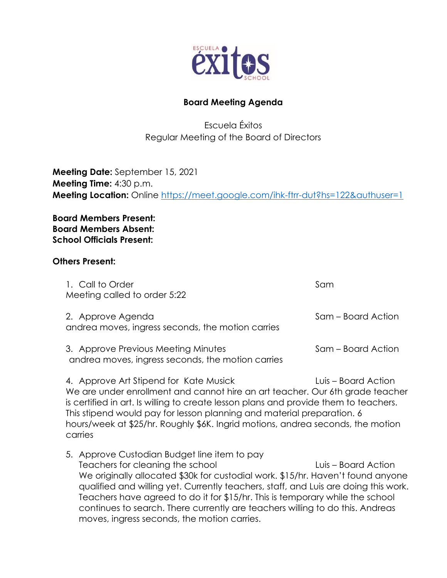

## **Board Meeting Agenda**

Escuela Éxitos Regular Meeting of the Board of Directors

**Meeting Date:** September 15, 2021 **Meeting Time:** 4:30 p.m. **Meeting Location:** Online<https://meet.google.com/ihk-ftrr-dut?hs=122&authuser=1>

**Board Members Present: Board Members Absent: School Officials Present:**

## **Others Present:**

| 1. Call to Order<br>Meeting called to order 5:22                                         | Sam                |
|------------------------------------------------------------------------------------------|--------------------|
| 2. Approve Agenda<br>andrea moves, ingress seconds, the motion carries                   | Sam – Board Action |
| 3. Approve Previous Meeting Minutes<br>andrea moves, ingress seconds, the motion carries | Sam – Board Action |
| A Approve Art Ctipspol for Kato Musick                                                   | luis Doord Aotion  |

4. Approve Art Stipend for Kate Musick Luis – Board Action We are under enrollment and cannot hire an art teacher. Our 6th grade teacher is certified in art. Is willing to create lesson plans and provide them to teachers. This stipend would pay for lesson planning and material preparation. 6 hours/week at \$25/hr. Roughly \$6K. Ingrid motions, andrea seconds, the motion carries

5. Approve Custodian Budget line item to pay Teachers for cleaning the school Luis – Board Action We originally allocated \$30k for custodial work. \$15/hr. Haven't found anyone qualified and willing yet. Currently teachers, staff, and Luis are doing this work. Teachers have agreed to do it for \$15/hr. This is temporary while the school continues to search. There currently are teachers willing to do this. Andreas moves, ingress seconds, the motion carries.